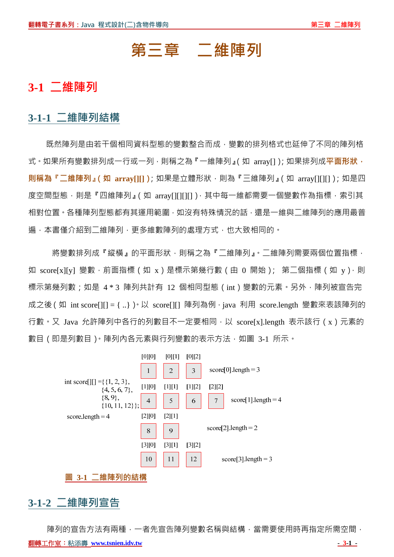# **第三章 二維陣列**

# **3-1 二維陣列**

## **3-1-1 二維陣列結構**

既然陣列是由若干個相同資料型態的變數整合而成,變數的排列格式也延伸了不同的陣列格 式。如果所有變數排列成一行或一列,則稱之為『一維陣列』(如 array[1);如果排列成**平面形狀**, **則稱為『二維陣列』(如 array[][]);**如果是立體形狀,則為『三維陣列』(如 array[][][]);如是四 度空間型態,則是『四維陣列』(如 array[][][][]), 其中每一維都需要一個變數作為指標, 索引其 相對位置。各種陣列型態都有其運用範圍,如沒有特殊情況的話,還是一維與二維陣列的應用最普 遍,本書僅介紹到二維陣列,更多維數陣列的處理方式,也大致相同的。

將變數排列成『縱橫』的平面形狀,則稱之為『二維陣列』。二維陣列需要兩個位置指標, 如 score[x][y] 變數,前面指標(如 x)是標示第幾行數(由 0 開始); 第二個指標(如 y),則 標示第幾列數;如是 4 \* 3 陣列共計有 12 個相同型態(int)變數的元素。另外,陣列被宣告完 成之後(如 int score[][] = { ..} ) 以 score[][] 陣列為例, java 利用 score.length 變數來表該陣列的 行數。又 Java 允許陣列中各行的列數目不一定要相同,以 score[x].length 表示該行 ( x ) 元素的 數目 ( 即是列數目 ) · 陣列內各元素與行列變數的表示方法, 如圖 3-1 所示。



## **3-1-2 二維陣列宣告**

陣列的宣告方法有兩種,一者先宣告陣列變數名稱與結構,當需要使用時再指定所需空間,

**翻轉工作室:粘添壽 www.tsnien.idv.tw - 3-1 - - 3-1 - - 3-1 - - 3-1 - - 3-1 - - 3-1 - - 3-1 - - 3-1 - - 3-1 - - 3-1 - - 3-1 - - 3-1 - - 3-1 - - 3-1 - - 3-1 - - 3-1 - - 3-1 - - 3-1 - - 3-1 - - 3-1 - - 3-1 - - 3-1 - - 3-1 - - 3-1 -**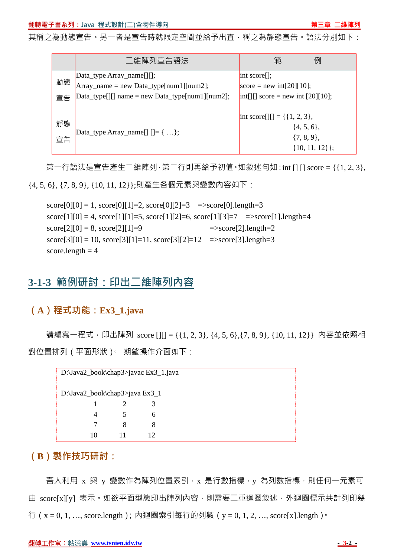其稱之為動態宣告。另一者是宣告時就限定空間並給予出直,稱之為靜態宣告。語法分別如下:

|          | 二維陣列宣告語法                                                                | 範<br>例                                                                                                     |
|----------|-------------------------------------------------------------------------|------------------------------------------------------------------------------------------------------------|
| 動態       | [Data_type Array_name[][];<br>$Array_name = new Data_type(num1][num2];$ | $\vert$ int score $\vert$ :<br>score = new int[20][10];                                                    |
| 宣告       | $\text{Data_type}$ [][] name = new Data_type[num1][num2];               | $\text{int}[ ] [ ]$ score = new int [20][10];                                                              |
| 靜態<br>宣告 | $\text{Data_type Array_name}[]$ $[] = \{  \};$                          | $\text{int score}[\cdot][] = \{\{1, 2, 3\},\}$<br>$\{4, 5, 6\},\$<br>$\{7, 8, 9\},\$<br>$\{10, 11, 12\}$ ; |

第一行語法是宣告產生二維陣列,第二行則再給予初值。如敘述句如: int [] [] score = {{1, 2, 3},

{4, 5, 6}, {7, 8, 9}, {10, 11, 12}};則產生各個元素與變數內容如下:

```
score[0][0] = 1, score[0][1] = 2, score[0][2] = 3 =>score[0].length=3
score[1][0] = 4, score[1][1]=5, score[1][2]=6, score[1][3]=7 =>score[1].length=4
\text{score}[2][0] = 8, \text{score}[2][1] = 9 =>score[2].length=2
score[3][0] = 10, score[3][1] = 11, score[3][2] = 12 =>score[3].length=3
score.length = 4
```
# **3-1-3 範例研討:印出二維陣列內容**

## **(A)程式功能:Ex3\_1.java**

請編寫一程式,印出陣列 score [][] = {{1, 2, 3}, {4, 5, 6},{7, 8, 9}, {10, 11, 12}} 内容並依照相 對位置排列(平面形狀)。 期望操作介面如下:

| D:\Java2_book\chap3>javac Ex3_1.java |   |    |  |  |
|--------------------------------------|---|----|--|--|
| D:\Java2_book\chap3>java Ex3_1       |   |    |  |  |
|                                      |   | 3  |  |  |
| 4                                    | 5 | 6  |  |  |
|                                      | 8 |    |  |  |
| 10                                   |   | 12 |  |  |

## **(B)製作技巧研討:**

吾人利用 x 與 y 變數作為陣列位置索引, x 是行數指標, y 為列數指標,則任何一元素可 由 score[x][y] 表示。如欲平面型態印出陣列內容,則需要二重迴圈敘述,外迴圈標示共計列印幾 行(x = 0, 1, …, score.length);內迴圈索引每行的列數(y = 0, 1, 2, …, score[x].length)。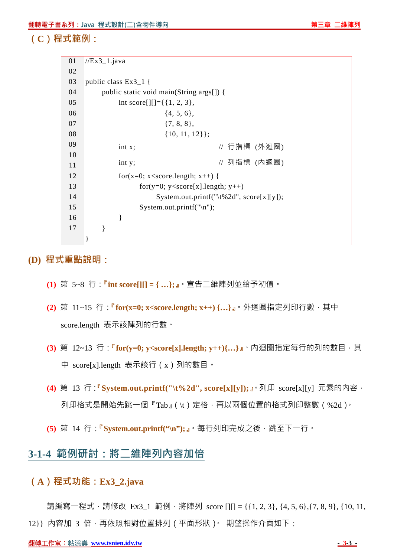**(C)程式範例:**

| 01 | $//Ex3_1.java$                                                  |
|----|-----------------------------------------------------------------|
| 02 |                                                                 |
| 03 | public class $Ex3_1$ {                                          |
| 04 | public static void main(String args[]) {                        |
| 05 | int score [J[] = { $\{1, 2, 3\}$ ,                              |
| 06 | $\{4, 5, 6\},\$                                                 |
| 07 | $\{7, 8, 8\},\$                                                 |
| 08 | $\{10, 11, 12\}$ ;                                              |
| 09 | // 行指標 (外迴圈)<br>int x;                                          |
| 10 |                                                                 |
| 11 | // 列指標 (內迴圈)<br>int y;                                          |
| 12 | for(x=0; x <score.length; td="" x++)="" {<=""></score.length;>  |
| 13 | for(y=0; y <score[x].length; td="" y++)<=""></score[x].length;> |
| 14 | System.out.printf("\t%2d", score[x][y]);                        |
| 15 | System.out.printf("\n");                                        |
| 16 | ł                                                               |
| 17 | ∤                                                               |
|    |                                                                 |

**(D) 程式重點說明:**

- **(1)** 第 5~8 行:**『int score[][] = { …};』**。宣告二維陣列並給予初值。
- **(2)** 第 11~15 行:**『for(x=0; x<score.length; x++) {…}』**。外迴圈指定列印行數,其中 score.length 表示該陣列的行數。
- **(3)** 第 12~13 行:**『for(y=0; y<score[x].length; y++){…}』**。內迴圈指定每行的列的數目,其 中 score[x].length 表示該行(x)列的數目。
- **(4)** 第 13 行:**『System.out.printf("\t%2d", score[x][y]);』**。列印 score[x][y] 元素的內容, 列印格式是開始先跳一個『Tab』(\t)定格,再以兩個位置的格式列印整數(%2d)。
- **(5)** 第 14 行:**『System.out.printf("\n");』**。每行列印完成之後,跳至下一行。

# **3-1-4 範例研討:將二維陣列內容加倍**

#### **(A)程式功能:Ex3\_2.java**

請編寫一程式,請修改 Ex3\_1 範例,將陣列 score [][] = {{1, 2, 3}, {4, 5, 6}, {7, 8, 9}, {10, 11, 12}} 内容加 3 倍,再依照相對位置排列(平面形狀)。 期望操作介面如下: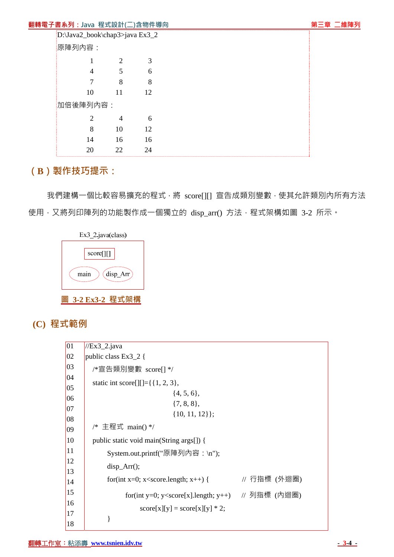#### **翻轉電子書系列:Java** 程式設計(二)含物件導向 第三节 第三章 四種 第三章 三維陣列

|          | D:\Java2_book\chap3>java Ex3_2 |    |    |
|----------|--------------------------------|----|----|
|          | 原陣列內容:                         |    |    |
|          | 1                              | 2  | 3  |
|          | 4                              | 5  | 6  |
|          | 7                              | 8  | 8  |
|          | 10                             | 11 | 12 |
| 加倍後陣列內容: |                                |    |    |
|          | $\overline{2}$                 | 4  | 6  |
|          | 8                              | 10 | 12 |
|          | 14                             | 16 | 16 |
|          | 20                             | 22 | 24 |

# **(B)製作技巧提示:**

我們建構一個比較容易擴充的程式,將 score[][] 宣告成類別變數,使其允許類別內所有方法 使用,又將列印陣列的功能製作成一個獨立的 disp\_arr() 方法,程式架構如圖 3-2 所示。

| Ex3 2.java(class) |
|-------------------|
| score[][]         |
| disp_Arr<br>main  |
| 3-2 Ex3-2 程式      |

 **(C) 程式範例**

| 01           | $//Ex3_2.java$                                                                               |              |
|--------------|----------------------------------------------------------------------------------------------|--------------|
| $ 02\rangle$ | public class Ex $3\_\,2\}$                                                                   |              |
| 03           | /*宣告類別變數 score[] */                                                                          |              |
| 04           | static int score [ $\left[\right]$ [ $=\$ { 1, 2, 3},                                        |              |
| 05           | $\{4, 5, 6\},\$                                                                              |              |
| 06           | $\{7, 8, 8\},\$                                                                              |              |
| 07           |                                                                                              |              |
| 08           | $\{10, 11, 12\}$ ;                                                                           |              |
| 09           | /* 主程式 main() */                                                                             |              |
| 10           | public static void main(String args[]) {                                                     |              |
| 11           | System.out.printf("原陣列內容:\n");                                                               |              |
| 12           | $disp_{ATT}$ :                                                                               |              |
| 13           |                                                                                              |              |
| 14           | for(int x=0; x <score.length; th="" x++)="" {<=""><th>// 行指標 (外迴圈)</th></score.length;>      | // 行指標 (外迴圈) |
| 15           | for(int y=0; y <score[x].length; (內迴圈)<="" th="" y++)="" 列指標=""><th></th></score[x].length;> |              |
| 16           |                                                                                              |              |
| 17           | $score[x][y] = score[x][y] * 2;$                                                             |              |
| 18           |                                                                                              |              |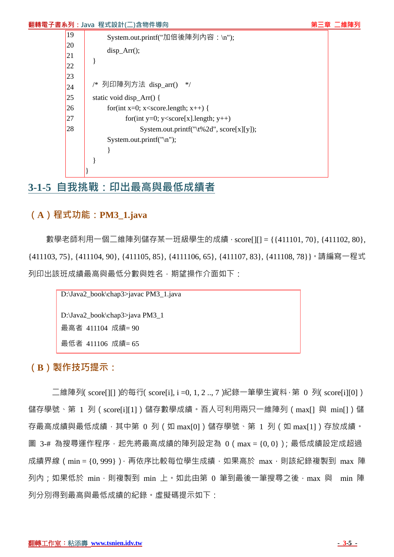#### **翻轉電子書系列:Java 程式設計(二)含物件導向 『『『『『『『』』』 第三章 二維陣列**

| <sup>19</sup> | System.out.printf("加倍後陣列內容:\n");                                    |
|---------------|---------------------------------------------------------------------|
| 20            | $disp_{ATT}$ .                                                      |
| 21            |                                                                     |
| 22            |                                                                     |
| 23            | /* 列印陣列方法 disp_arr()<br>$*$                                         |
| 24            |                                                                     |
| $\vert$ 25    | static void disp_Arr() {                                            |
| 26            | for(int x=0; x <score.length; td="" x++)="" {<=""></score.length;>  |
| 27            | for(int y=0; y <score[x].length; td="" y++)<=""></score[x].length;> |
| 28            | System.out.printf("\t%2d", score[x][y]);                            |
|               | System.out.printf( $"\n\langle n"\rangle$ ;                         |
|               |                                                                     |
|               |                                                                     |
|               |                                                                     |

# **3-1-5 自我挑戰:印出最高與最低成績者**

# **(A)程式功能:PM3\_1.java**

數學老師利用一個二維陣列儲存某一班級學生的成績,score[][] = {{411101,70}, {411102, 80}, {411103, 75}, {411104, 90}, {411105, 85}, {4111106, 65}, {411107, 83}, {411108, 78}}。請編寫一程式 列印出該班成績最高與最低分數與姓名, 期望操作介面如下:

```
D:\Java2_book\chap3>javac PM3_1.java 
D:\Java2_book\chap3>java PM3_1
最高者 411104 成績= 90 
最低者 411106 成績= 65
```
#### **(B)製作技巧提示:**

二維陣列(score[][])的每行(score[i], i =0, 1, 2 .., 7)紀錄一筆學生資料,第 0 列(score[i][0]) 儲存學號、第 1 列 (score[i][1])儲存數學成績。吾人可利用兩只一維陣列 (max[] 與 min[])儲 存最高成績與最低成績,其中第 0 列(如 max[0])儲存學號、第 1 列(如 max[1])存放成績。 圖 3-# 為搜尋運作程序,起先將最高成績的陣列設定為 0 ( max = {0, 0} ) ; 最低成績設定成超過 成績界線 ( min = {0,999}), 再依序比較每位學生成績, 如果高於 max, 則該紀錄複製到 max 陣 列內;如果低於 min,則複製到 min 上,如此由第 0 筆到最後一筆搜尋之後, max 與 min 陣 列分別得到最高與最低成績的紀錄。虛擬碼提示如下: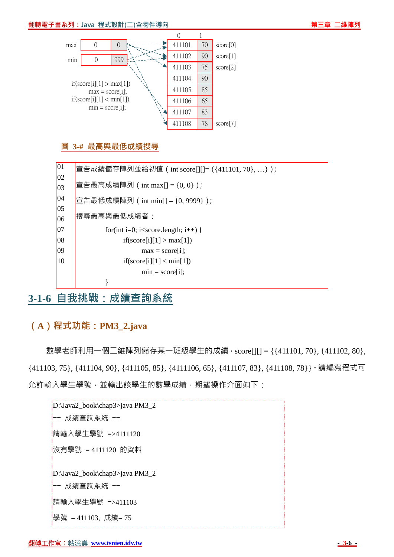#### **翻轉電子書系列:Java 程式設計(二)含物件導向 『『『『『『『』』』 第三章 二維陣列**



#### **圖 3-# 最高與最低成績搜尋**



# **3-1-6 自我挑戰:成績查詢系統**

## **(A)程式功能:PM3\_2.java**

數學老師利用一個二維陣列儲存某一班級學生的成績,score[1[] = {{411101,70}, {411102,80}, {411103, 75}, {411104, 90}, {411105, 85}, {4111106, 65}, {411107, 83}, {411108, 78}}。請編寫程式可 允許輸入學生學號,並輸出該學生的數學成績,期望操作介面如下:

```
D:\Java2_book\chap3>java PM3_2
== 成績查詢系統 == 
請輸入學生學號 =>4111120 
沒有學號 = 4111120 的資料
D:\Java2_book\chap3>java PM3_2 
== 成績查詢系統 == 
請輸入學生學號 =>411103 
學號 = 411103, 成績= 75
```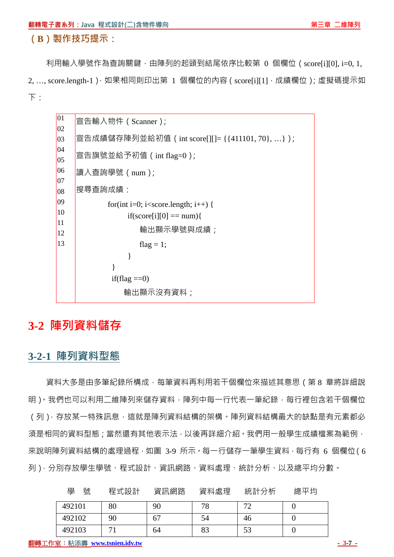利用輸入學號作為查詢關鍵,由陣列的起頭到結尾依序比較第 0 個欄位 ( score[i][0], i=0, 1, 2, ..., score.length-1), 如果相同則印出第 1 個欄位的內容 ( score[i][1], 成績欄位); 虛擬碼提示如 下:



# **3-2 陣列資料儲存**

## **3-2-1 陣列資料型態**

資料大多是由多筆紀錄所構成,每筆資料再利用若干個欄位來描述其意思(第 8 章將詳細說 明 ) 。我們也可以利用二維陣列來儲存資料 , 陣列中每一行代表一筆紀錄 , 每行裡包含若干個欄位 (列),存放某一特殊訊息,這就是陣列資料結構的架構。陣列資料結構最大的缺點是有元素都必 須是相同的資料型態;當然還有其他表示法,以後再詳細介紹。我們用一般學生成績檔案為範例, 來說明陣列資料結構的處理過程,如圖 3-9 所示。每一行儲存一筆學生資料,每行有 6 個欄位(6 列),分別存放學生學號、程式設計、資訊網路、資料處理、統計分析、以及總平均分數。

| 學<br>號 | 程式設計 | 資訊網路 | 資料處理 | 統計分析 | 總平均 |
|--------|------|------|------|------|-----|
| 492101 | 80   | 90   | 78   | 70   |     |
| 492102 | 90   | 67   | 54   | 46   |     |
| 492103 |      | 64   | 83   | 53   |     |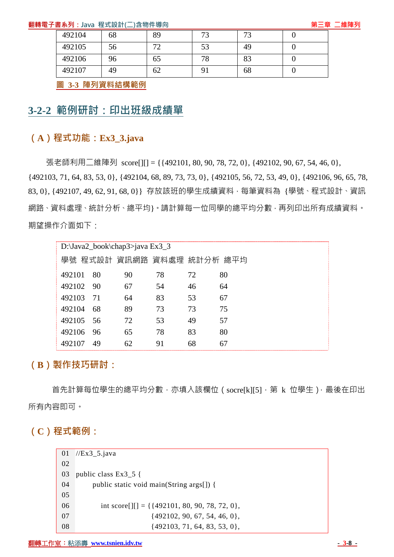#### **翻轉電子書系列:Java 程式設計(二)含物件導向 第三章 二維陣列**

| 492104 | 68 | 89 | 73 | $\mathcal{L}$ |  |
|--------|----|----|----|---------------|--|
| 492105 | 56 | 70 | 53 | 49            |  |
| 492106 | 96 | 65 | 78 | 83            |  |
| 492107 | 49 | 62 |    | 68            |  |

**圖 3-3 陣列資料結構範例**

# **3-2-2 範例研討:印出班級成績單**

## **(A)程式功能:Ex3\_3.java**

張老師利用二維陣列 score[][] = {{492101, 80, 90, 78, 72, 0}, {492102, 90, 67, 54, 46, 0}, {492103, 71, 64, 83, 53, 0}, {492104, 68, 89, 73, 73, 0}, {492105, 56, 72, 53, 49, 0}, {492106, 96, 65, 78, 83, 0}, {492107, 49, 62, 91, 68, 0}} 存放該班的學生成績資料,每筆資料為 {學號、程式設計、資訊 網路、資料處理、統計分析、總平均}。請計算每一位同學的總平均分數,再列印出所有成績資料。 期望操作介面如下:

| D:\Java2_book\chap3>java Ex3_3 |    |    |    |    |
|--------------------------------|----|----|----|----|
| 學號 程式設計 資訊網路 資料處理 統計分析 總平均     |    |    |    |    |
| 80<br>492101                   | 90 | 78 | 72 | 80 |
| 492102<br>- 90                 | 67 | 54 | 46 | 64 |
| 492103<br>71                   | 64 | 83 | 53 | 67 |
| 492104<br>68                   | 89 | 73 | 73 | 75 |
| 492105<br>56                   | 72 | 53 | 49 | 57 |
| 492106<br>96                   | 65 | 78 | 83 | 80 |
| 492107<br>49                   | 62 | 91 | 68 | 67 |

## **(B)製作技巧研討:**

首先計算每位學生的總平均分數,亦填入該欄位 (socre[k][5],第 k 位學生), 最後在印出 所有內容即可。

#### **(C)程式範例:**

| 01 | $//Ex3_5.java$                                                                                         |
|----|--------------------------------------------------------------------------------------------------------|
| 02 |                                                                                                        |
| 03 | public class $Ex3_5$ {                                                                                 |
| 04 | public static void main(String args[]) {                                                               |
| 05 |                                                                                                        |
| 06 | int score $\begin{bmatrix} 1 \end{bmatrix} = {\begin{bmatrix} 492101, 80, 90, 78, 72, 0 \end{bmatrix}$ |
| 07 | $\{492102, 90, 67, 54, 46, 0\},\$                                                                      |
| 08 | $\{492103, 71, 64, 83, 53, 0\},\$                                                                      |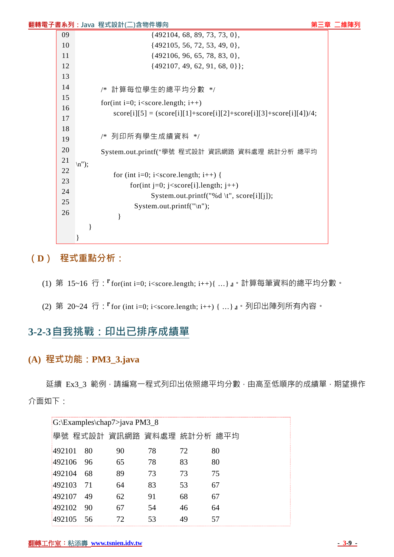|          |                         | <b>翻轉電子書系列:Java</b> 程式設計(二)含物件導向                                                      | 第三章 | 二維陣列 |
|----------|-------------------------|---------------------------------------------------------------------------------------|-----|------|
| 09       |                         | $\{492104, 68, 89, 73, 73, 0\},\$                                                     |     |      |
| 10       |                         | $\{492105, 56, 72, 53, 49, 0\},\$                                                     |     |      |
| 11       |                         | $\{492106, 96, 65, 78, 83, 0\},\$                                                     |     |      |
| 12       |                         | $\{492107, 49, 62, 91, 68, 0\};$                                                      |     |      |
| 13       |                         |                                                                                       |     |      |
| 14       |                         | /* 計算每位學生的總平均分數 */                                                                    |     |      |
| 15       |                         | for(int i=0; i <score.length; i++)<="" td=""><td></td><td></td></score.length;>       |     |      |
| 16<br>17 |                         | $score[i][5] = (score[i][1] + score[i][2] + score[i][3] + score[i][4])/4;$            |     |      |
| 18<br>19 |                         | /* 列印所有學生成績資料 */                                                                      |     |      |
| 20       |                         | System.out.printf("學號 程式設計 資訊網路 資料處理 統計分析 總平均                                         |     |      |
| 21<br>22 | $\langle n'' \rangle$ ; |                                                                                       |     |      |
| 23       |                         | for (int i=0; i <score.length; i++)="" td="" {<=""><td></td><td></td></score.length;> |     |      |
| 24       |                         | for(int j=0; j <score[i].length; j++)<="" td=""><td></td><td></td></score[i].length;> |     |      |
| 25       |                         | System.out.printf("%d \t", score[i][j]);                                              |     |      |
| 26       |                         | System.out.printf("\n");                                                              |     |      |
|          |                         |                                                                                       |     |      |
|          |                         |                                                                                       |     |      |

# **(D) 程式重點分析:**

- (1) 第 15~16 行:『for(int i=0; i<score.length; i++){ …}』。計算每筆資料的總平均分數。
- (2) 第 20~24 行:『for (int i=0; i<score.length; i++) { …}』。列印出陣列所有內容。

# **3-2-3自我挑戰:印出已排序成績單**

## **(A) 程式功能:PM3\_3.java**

延續 Ex3 3 範例,請編寫一程式列印出依照總平均分數,由高至低順序的成績單,期望操作 介面如下:

| G:\Examples\chap7>java PM3_8 |    |                            |    |    |    |
|------------------------------|----|----------------------------|----|----|----|
|                              |    | 學號 程式設計 資訊網路 資料處理 統計分析 總平均 |    |    |    |
| 492101                       | 80 | 90                         | 78 | 72 | 80 |
| 492106                       | 96 | 65                         | 78 | 83 | 80 |
| 492104                       | 68 | 89                         | 73 | 73 | 75 |
| 492103                       | 71 | 64                         | 83 | 53 | 67 |
| 492107                       | 49 | 62                         | 91 | 68 | 67 |
| 492102                       | 90 | 67                         | 54 | 46 | 64 |
| 492105                       | 56 | 72                         | 53 | 49 | 57 |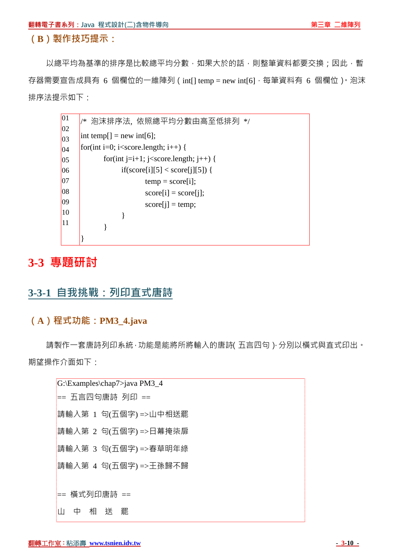以總平均為基準的排序是比較總平均分數,如果大於的話,則整筆資料都要交換;因此,暫 存器需要宣告成具有 6 個欄位的一維陣列 (int<a>[l temp = new int<a>[6], 每筆資料有 6 個欄位), 泡沫 排序法提示如下:

| 01 | * 泡沫排序法,依照總平均分數由高至低排列 */                                             |
|----|----------------------------------------------------------------------|
| 02 |                                                                      |
| 03 | $[$ int temp[] = new int[6];                                         |
| 04 | for(int i=0; i <score.length; i++)="" th="" {<=""></score.length;>   |
| 05 | for(int j=i+1; j <score.length; j++)="" th="" {<=""></score.length;> |
| 06 | if(score[i][5] < score[j][5]) {                                      |
| 07 | $temp = score[i];$                                                   |
| 08 | $score[i] = score[i];$                                               |
| 09 | $score[i] = temp;$                                                   |
| 10 |                                                                      |
| 11 |                                                                      |
|    |                                                                      |

# **3-3 專題研討**

# **3-3-1 自我挑戰:列印直式唐詩**

# **(A)程式功能:PM3\_4.java**

請製作一套唐詩列印系統,功能是能將所將輸入的唐詩(五言四句),分別以橫式與直式印出。 期望操作介面如下:

| G:\Examples\chap7>java PM3_4 |  |  |  |  |  |
|------------------------------|--|--|--|--|--|
| == 五言四句唐詩 列印 ==              |  |  |  |  |  |
| 請輸入第 1 句(五個字) =>山中相送罷        |  |  |  |  |  |
| 請輸入第 2 句(五個字) =>日幕掩柒扉        |  |  |  |  |  |
| 請輸入第 3 句(五個字) =>春草明年綠        |  |  |  |  |  |
| 請輸入第 4 句(五個字) =>王孫歸不歸        |  |  |  |  |  |
|                              |  |  |  |  |  |
| == 橫式列印唐詩 ==                 |  |  |  |  |  |
| 相<br>罷<br>浂<br>Ш<br>中        |  |  |  |  |  |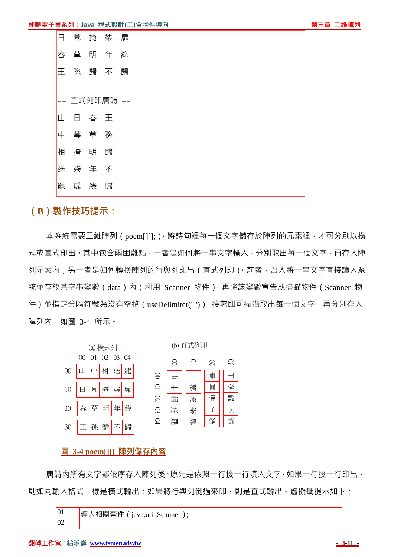|    | 幕 | 掩  | - 柒          | ―扉 |
|----|---|----|--------------|----|
| 春  | 草 | 明  | 年            | 綠  |
| 干  | 孫 | 歸  | 不            | 歸  |
|    |   |    |              |    |
|    |   |    | == 直式列印唐詩 == |    |
| ıП | н | 春  | 一王           |    |
| 中  | 幕 | 草孫 |              |    |
| 相  | 掩 | 明  | 歸            |    |
| 送  | 柒 | 年  | 不            |    |
| 罷  | 扉 | 綠  | 歸            |    |
|    |   |    |              |    |

本系統需要二維陣列 (poem[III: ),將詩句裡每一個文字儲存於陣列的元素裡,才可分別以橫 式或直式印出。其中包含兩困難點,一者是如何將一串文字輸入,分別取出每一個文字,再存入陣 列元素内;另一者是如何轉換陣列的行與列印出 ( 直式列印 ) 。前者, 吾人將一串文字直接讀入系 統並存放某字串變數 (data)內 (利用 Scanner 物件), 再將該變數宣告成掃瞄物件 (Scanner 物 件)並指定分隔符號為沒有空格 (useDelimiter("") ) · 接著即可掃瞄取出每一個文字 · 再分別存入 陣列內,如圖 3-4 所示。



#### **圖 3-4 poem[][] 陣列儲存內容**

唐詩内所有文字都依序存入陣列後。原先是依照一行接一行填入文字,如果一行接一行印出, 則如同輸入格式一樣是橫式輸出;如果將行與列倒過來印,則是直式輸出。虛擬碼提示如下:

```
\overline{01}|02|導入相關套件(java.util.Scanner);
```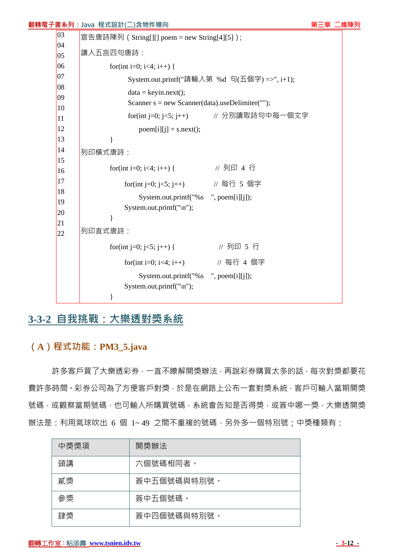| 翻轉電子書系列:Java 程式設計(二)含物件導向 |  |  |  |
|---------------------------|--|--|--|
|---------------------------|--|--|--|

**第三章 二維陣列**  $|03$  $|04|$  $|0.5|$  $\log$  $|_{07}$ 08  $|09\rangle$ 10 11 12 13 14 15 16 17 18 19 20 21 22 宣告唐詩陣列(String[][] poem = new String[4][5]); 讀入五言四句唐詩: for(int i=0; i<4; i++) { System.out.printf("請輸入第 %d 句(五個字) =>", i+1);  $data = kevin.next()$ : Scanner  $s = new Scanner(data).useDelimiter("")$ ; for(int j=0; j<5; j++) // 分別讀取詩句中每一個文字  $poem[i][j] = s.next();$  } 列印橫式唐詩: for(int i=0; i<4; i++) { // 列印 4 行 for(int j=0; j<5; j++)  $\#$  每行 5 個字 System.out.printf("%s ", poem[i][j]); System.out.printf("\n"); } 列印直式唐詩: for(int j=0; j<5; j++) { // 列印 5 行 for(int i=0; i<4; i++) // 每行 4 個字 System.out.printf("%s ", poem[i][j]); System.out.printf("\n"); }

# **3-3-2 自我挑戰:大樂透對獎系統**

# **(A)程式功能:PM3\_5.java**

許多客戶買了大樂透彩券,一直不瞭解開獎辦法,再說彩券購買太多的話,每次對獎都要花 費許多時間。彩券公司為了方便客戶對獎,於是在網路上公布一套對獎系統,客戶可輸入當期開獎 號碼,或觀察當期號碼,也可輸入所購買號碼,系統會告知是否得獎,或簽中哪一獎,大樂透開獎 辦法是:利用氣球吹出 6 個 1~49 之間不重複的號碼,另外多一個特別號;中獎種類有:

| 中獎獎項 | 開獎辦法        |
|------|-------------|
| 頭講   | 六個號碼相同者。    |
| 貮奬   | 簽中五個號碼與特別號。 |
| 參獎   | 簽中五個號碼。     |
| 肆獎   | 簽中四個號碼與特別號。 |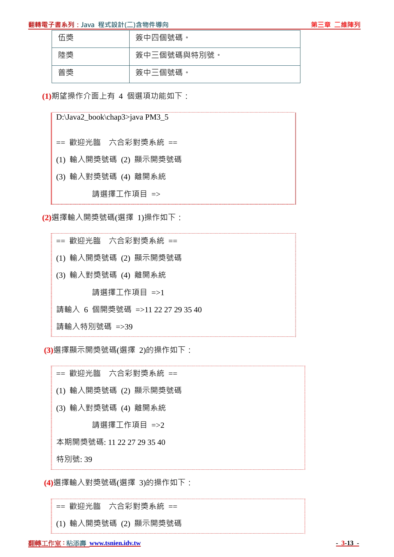#### **翻轉電子書系列:Java 程式設計(二)含物件導向 第一章 第一章 一種 的复数 的复数 的复数 第三章 二維陣列**



| 伍獎 | 簽中四個號碼。    |
|----|------------|
| 陸獎 | 簽中三個號碼與特別號 |
| 普獎 | 簽中三個號碼。    |

**(1)**期望操作介面上有 4 個選項功能如下:

D:\Java2\_book\chap3>java PM3\_5

== 歡迎光臨 六合彩對獎系統 ==

(1) 輸入開獎號碼 (2) 顯示開獎號碼

(3) 輸入對獎號碼 (4) 離開系統

請選擇工作項目 =>

**(2)**選擇輸入開獎號碼(選擇 1)操作如下:

== 歡迎光臨 六合彩對獎系統 == (1) 輸入開獎號碼 (2) 顯示開獎號碼 (3) 輸入對獎號碼 (4) 離開系統 請選擇工作項目 =>1 請輸入 6 個開獎號碼 =>11 22 27 29 35 40 請輸入特別號碼 =>39

**(3)**選擇顯示開獎號碼(選擇 2)的操作如下:

== 歡迎光臨 六合彩對獎系統 == (1) 輸入開獎號碼 (2) 顯示開獎號碼 (3) 輸入對獎號碼 (4) 離開系統 請選擇工作項目 =>2 本期開獎號碼: 11 22 27 29 35 40 特別號: 39

**(4)**選擇輸入對獎號碼(選擇 3)的操作如下:

== 歡迎光臨 六合彩對獎系統 ==

(1) 輸入開獎號碼 (2) 顯示開獎號碼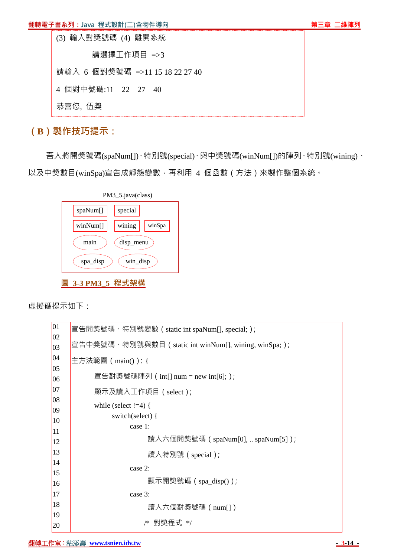





吾人將開獎號碼(spaNum[])、特別號(special)、與中獎號碼(winNum[])的陣列、特別號(wining)、 以及中獎數目(winSpa)宣告成靜態變數,再利用 4 個函數 ( 方法 ) 來製作整個系統。



虛擬碼提示如下:

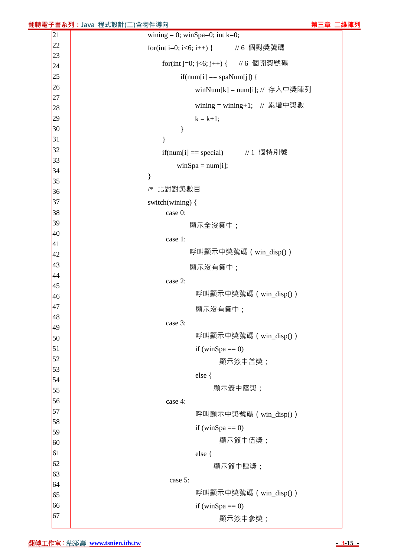| 22       | for(int i=0; i<6; i++) { // 6 個對獎號碼 |
|----------|-------------------------------------|
| 23       |                                     |
| 24       | for(int j=0; j<6; j++) { // 6 個開獎號碼 |
| 25       | $if(num[i] == spanNum[j])$ {        |
| 26       | winNum[k] = num[i]; // 存入中獎陣列       |
| 27       | wining = wining +1; // 累增中獎數        |
| 28<br>29 | $k = k + 1;$                        |
| 30       | $\}$                                |
| 31       | }                                   |
| 32       |                                     |
| 33       | if(num[i] = special) // 1 個特別號      |
| 34       | $winSpa = num[i];$                  |
| 35       | $\}$                                |
| 36       | 比對對獎數目<br>/*                        |
| 37       | switch(wining) {                    |
| 38       | case 0:                             |
| 39       | 顯示全沒簽中;                             |
| 40       | case 1:                             |
| 41       |                                     |
| 42       | 呼叫顯示中獎號碼 (win_disp())               |
| 43       | 顯示沒有簽中;                             |
| 44       | case 2:                             |
| 45       | 呼叫顯示中獎號碼 (win_disp())               |
| 46       |                                     |
| 47<br>48 | 顯示沒有簽中;                             |
| 49       | case 3:                             |
| 50       | 呼叫顯示中獎號碼 (win_disp())               |
| 51       | if (winSpa $==$ 0)                  |
| 52       |                                     |
| 53       | 顯示簽中普獎;                             |
| 54       | else {                              |
| 55       | 顯示簽中陸獎;                             |
| 56       | case 4:                             |
| 57       | 呼叫顯示中獎號碼 (win_disp())               |
| 58       | if (winSpa $==$ 0)                  |
| 59       |                                     |
| 60       | 顯示簽中伍獎;                             |
| 61       | else {                              |
| 62       | 顯示簽中肆獎;                             |
| 63       | case 5:                             |
| 64       | 呼叫顯示中獎號碼 (win_disp())               |
| 65       |                                     |
| 66<br>67 | if (winSpa $==$ 0)                  |
|          | 顯示簽中參獎;                             |

#### **翻轉電子書系列:Java 程式設計(二)含物件導向 第一章 第一章 一時間 第三章 二維陣列**  $\boxed{21}$ wining = 0; winSpa=0; int k=0;